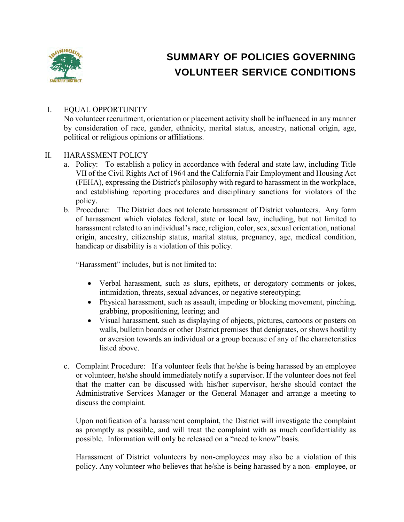

# **SUMMARY OF POLICIES GOVERNING VOLUNTEER SERVICE CONDITIONS**

#### I. EQUAL OPPORTUNITY

No volunteer recruitment, orientation or placement activity shall be influenced in any manner by consideration of race, gender, ethnicity, marital status, ancestry, national origin, age, political or religious opinions or affiliations.

#### II. HARASSMENT POLICY

- a. Policy: To establish a policy in accordance with federal and state law, including Title VII of the Civil Rights Act of 1964 and the California Fair Employment and Housing Act (FEHA), expressing the District's philosophy with regard to harassment in the workplace, and establishing reporting procedures and disciplinary sanctions for violators of the policy.
- b. Procedure: The District does not tolerate harassment of District volunteers. Any form of harassment which violates federal, state or local law, including, but not limited to harassment related to an individual's race, religion, color, sex, sexual orientation, national origin, ancestry, citizenship status, marital status, pregnancy, age, medical condition, handicap or disability is a violation of this policy.

"Harassment" includes, but is not limited to:

- Verbal harassment, such as slurs, epithets, or derogatory comments or jokes, intimidation, threats, sexual advances, or negative stereotyping;
- Physical harassment, such as assault, impeding or blocking movement, pinching, grabbing, propositioning, leering; and
- Visual harassment, such as displaying of objects, pictures, cartoons or posters on walls, bulletin boards or other District premises that denigrates, or shows hostility or aversion towards an individual or a group because of any of the characteristics listed above.
- c. Complaint Procedure: If a volunteer feels that he/she is being harassed by an employee or volunteer, he/she should immediately notify a supervisor. If the volunteer does not feel that the matter can be discussed with his/her supervisor, he/she should contact the Administrative Services Manager or the General Manager and arrange a meeting to discuss the complaint.

Upon notification of a harassment complaint, the District will investigate the complaint as promptly as possible, and will treat the complaint with as much confidentiality as possible. Information will only be released on a "need to know" basis.

Harassment of District volunteers by non-employees may also be a violation of this policy. Any volunteer who believes that he/she is being harassed by a non- employee, or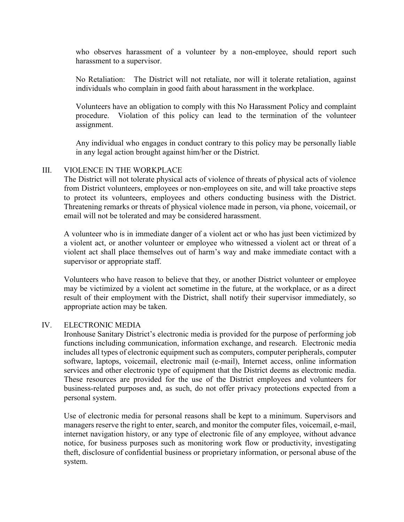who observes harassment of a volunteer by a non-employee, should report such harassment to a supervisor.

No Retaliation: The District will not retaliate, nor will it tolerate retaliation, against individuals who complain in good faith about harassment in the workplace.

Volunteers have an obligation to comply with this No Harassment Policy and complaint procedure. Violation of this policy can lead to the termination of the volunteer assignment.

Any individual who engages in conduct contrary to this policy may be personally liable in any legal action brought against him/her or the District.

#### III. VIOLENCE IN THE WORKPLACE

The District will not tolerate physical acts of violence of threats of physical acts of violence from District volunteers, employees or non-employees on site, and will take proactive steps to protect its volunteers, employees and others conducting business with the District. Threatening remarks or threats of physical violence made in person, via phone, voicemail, or email will not be tolerated and may be considered harassment.

A volunteer who is in immediate danger of a violent act or who has just been victimized by a violent act, or another volunteer or employee who witnessed a violent act or threat of a violent act shall place themselves out of harm's way and make immediate contact with a supervisor or appropriate staff.

Volunteers who have reason to believe that they, or another District volunteer or employee may be victimized by a violent act sometime in the future, at the workplace, or as a direct result of their employment with the District, shall notify their supervisor immediately, so appropriate action may be taken.

#### IV. ELECTRONIC MEDIA

Ironhouse Sanitary District's electronic media is provided for the purpose of performing job functions including communication, information exchange, and research. Electronic media includes all types of electronic equipment such as computers, computer peripherals, computer software, laptops, voicemail, electronic mail (e-mail), Internet access, online information services and other electronic type of equipment that the District deems as electronic media. These resources are provided for the use of the District employees and volunteers for business-related purposes and, as such, do not offer privacy protections expected from a personal system.

Use of electronic media for personal reasons shall be kept to a minimum. Supervisors and managers reserve the right to enter, search, and monitor the computer files, voicemail, e-mail, internet navigation history, or any type of electronic file of any employee, without advance notice, for business purposes such as monitoring work flow or productivity, investigating theft, disclosure of confidential business or proprietary information, or personal abuse of the system.